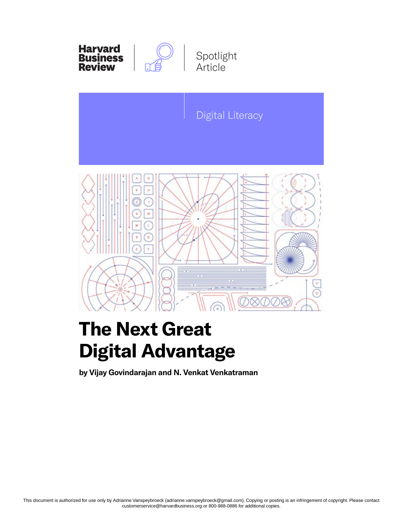



## **The Next Great Digital Advantage**

**by Vijay Govindarajan and N. Venkat Venkatraman**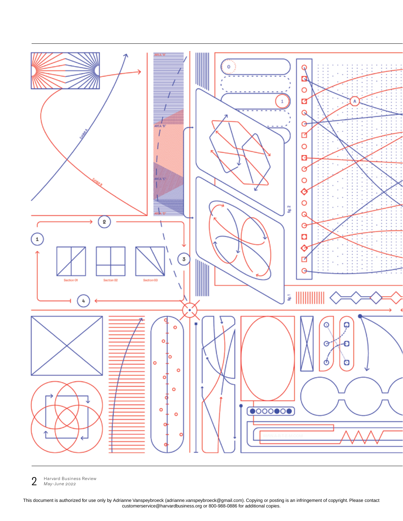

2 Harvard Business Review *May–June 2022*

This document is authorized for use only by Adrianne Vanspeybroeck (adrianne.vanspeybroeck@gmail.com). Copying or posting is an infringement of copyright. Please contact customerservice@harvardbusiness.org or 800-988-0886 for additional copies.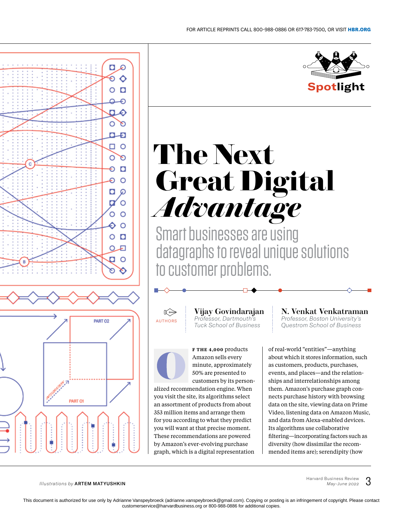

# **The Next Great Digital**  *Advantage*

Smart businesses are using datagraphs to reveal unique solutions to customer problems.



O €

Θ O  $\circ$   $\Box$ 

Ó R) ட் □ ○ O ø

Θ  $\bullet$ 

Đ  $\circ$ 

o Ø

 $\overline{a}$  $\circ$ 

O  $\circ$  $\circ$  $\circ$  o Ο. ନ рο

PART 02

€

Vijay Govindarajan *Professor, Dartmouth's Tuck School of Business*



**F THE 4,000** products Amazon sells every minute, approximately 50% are presented to

customers by its personalized recommendation engine. When you visit the site, its algorithms select an assortment of products from about 353 million items and arrange them for you according to what they predict you will want at that precise moment. These recommendations are powered by Amazon's ever-evolving purchase graph, which is a digital representation N. Venkat Venkatraman

*Professor, Boston University's*  AUTHORS Professor, Dartmouth's Professor, Boston University's<br>Tuck School of Business Questrom School of Business

> of real-world "entities"—anything about which it stores information, such as customers, products, purchases, events, and places—and the relationships and interrelationships among them. Amazon's purchase graph connects purchase history with browsing data on the site, viewing data on Prime Video, listening data on Amazon Music, and data from Alexa-enabled devices. Its algorithms use collaborative filtering—incorporating factors such as diversity (how dissimilar the recommended items are); serendipity (how

*Illustrations by* ARTEM MATYUSHKIN

**PART Of** 

Harvard Business Review *May-June 2022*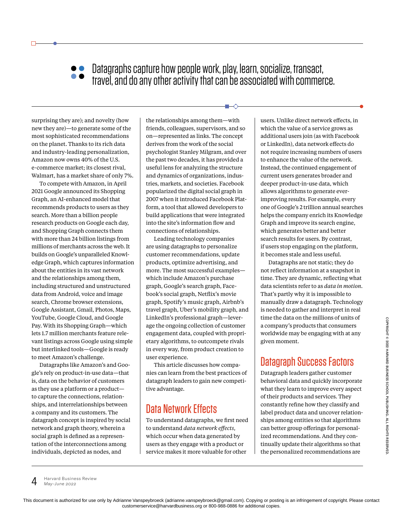Datagraphs capture how people work, play, learn, socialize, transact, travel, and do any other activity that can be associated with commerce.

surprising they are); and novelty (how new they are)—to generate some of the most sophisticated recommendations on the planet. Thanks to its rich data and industry-leading personalization, Amazon now owns 40% of the U.S. e-commerce market; its closest rival, Walmart, has a market share of only 7%.

To compete with Amazon, in April 2021 Google announced its Shopping Graph, an AI-enhanced model that recommends products to users as they search. More than a billion people research products on Google each day, and Shopping Graph connects them with more than 24 billion listings from millions of merchants across the web. It builds on Google's unparalleled Knowledge Graph, which captures information about the entities in its vast network and the relationships among them, including structured and unstructured data from Android, voice and image search, Chrome browser extensions, Google Assistant, Gmail, Photos, Maps, YouTube, Google Cloud, and Google Pay. With its Shopping Graph—which lets 1.7 million merchants feature relevant listings across Google using simple but interlinked tools—Google is ready to meet Amazon's challenge.

Datagraphs like Amazon's and Google's rely on product-in-use data—that is, data on the behavior of customers as they use a platform or a product to capture the connections, relationships, and interrelationships between a company and its customers. The datagraph concept is inspired by social network and graph theory, wherein a social graph is defined as a representation of the interconnections among individuals, depicted as nodes, and

the relationships among them—with friends, colleagues, supervisors, and so on—represented as links. The concept derives from the work of the social psychologist Stanley Milgram, and over the past two decades, it has provided a useful lens for analyzing the structure and dynamics of organizations, industries, markets, and societies. Facebook popularized the digital social graph in 2007 when it introduced Facebook Platform, a tool that allowed developers to build applications that were integrated into the site's information flow and connections of relationships.

Leading technology companies are using datagraphs to personalize customer recommendations, update products, optimize advertising, and more. The most successful examples which include Amazon's purchase graph, Google's search graph, Facebook's social graph, Netflix's movie graph, Spotify's music graph, Airbnb's travel graph, Uber's mobility graph, and LinkedIn's professional graph—leverage the ongoing collection of customer engagement data, coupled with proprietary algorithms, to outcompete rivals in every way, from product creation to user experience.

This article discusses how companies can learn from the best practices of datagraph leaders to gain new competitive advantage.

#### Data Network Effects

To understand datagraphs, we first need to understand *data network effects,* which occur when data generated by users as they engage with a product or service makes it more valuable for other

users. Unlike direct network effects, in which the value of a service grows as additional users join (as with Facebook or LinkedIn), data network effects do not require increasing numbers of users to enhance the value of the network. Instead, the continued engagement of current users generates broader and deeper product-in-use data, which allows algorithms to generate everimproving results. For example, every one of Google's 2 trillion annual searches helps the company enrich its Knowledge Graph and improve its search engine, which generates better and better search results for users. By contrast, if users stop engaging on the platform, it becomes stale and less useful.

Datagraphs are not static; they do not reflect information at a snapshot in time. They are dynamic, reflecting what data scientists refer to as *data in motion.*  That's partly why it is impossible to manually draw a datagraph. Technology is needed to gather and interpret in real time the data on the millions of units of a company's products that consumers worldwide may be engaging with at any given moment.

### Datagraph Success Factors

Datagraph leaders gather customer behavioral data and quickly incorporate what they learn to improve every aspect of their products and services. They constantly refine how they classify and label product data and uncover relationships among entities so that algorithms can better group offerings for personalized recommendations. And they continually update their algorithms so that the personalized recommendations are

 $4$  Harvard Business Review *May–June 2022*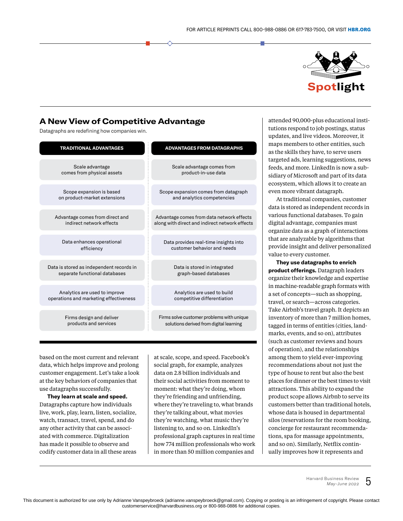

#### A New View of Competitive Advantage

Datagraphs are redefining how companies win.

| <b>TRADITIONAL ADVANTAGES</b>            | <b>ADVANTAGES FROM DATAGRAPHS</b>              |
|------------------------------------------|------------------------------------------------|
| Scale advantage                          | Scale advantage comes from                     |
| comes from physical assets               | product-in-use data                            |
| Scope expansion is based                 | Scope expansion comes from datagraph           |
| on product-market extensions             | and analytics competencies                     |
| Advantage comes from direct and          | Advantage comes from data network effects      |
| indirect network effects                 | along with direct and indirect network effects |
| Data enhances operational                | Data provides real-time insights into          |
| efficiency                               | customer behavior and needs                    |
| Data is stored as independent records in | Data is stored in integrated                   |
| separate functional databases            | graph-based databases                          |
| Analytics are used to improve            | Analytics are used to build                    |
| operations and marketing effectiveness   | competitive differentiation                    |
| Firms design and deliver                 | Firms solve customer problems with unique      |
| products and services                    | solutions derived from digital learning        |

based on the most current and relevant data, which helps improve and prolong customer engagement. Let's take a look at the key behaviors of companies that use datagraphs successfully.

**They learn at scale and speed.** Datagraphs capture how individuals live, work, play, learn, listen, socialize, watch, transact, travel, spend, and do any other activity that can be associated with commerce. Digitalization has made it possible to observe and codify customer data in all these areas

at scale, scope, and speed. Facebook's social graph, for example, analyzes data on 2.8 billion individuals and their social activities from moment to moment: what they're doing, whom they're friending and unfriending, where they're traveling to, what brands they're talking about, what movies they're watching, what music they're listening to, and so on. LinkedIn's professional graph captures in real time how 774 million professionals who work in more than 50 million companies and

attended 90,000-plus educational institutions respond to job postings, status updates, and live videos. Moreover, it maps members to other entities, such as the skills they have, to serve users targeted ads, learning suggestions, news feeds, and more. LinkedIn is now a subsidiary of Microsoft and part of its data ecosystem, which allows it to create an even more vibrant datagraph.

At traditional companies, customer data is stored as independent records in various functional databases. To gain digital advantage, companies must organize data as a graph of interactions that are analyzable by algorithms that provide insight and deliver personalized value to every customer.

**They use datagraphs to enrich product offerings.** Datagraph leaders organize their knowledge and expertise in machine-readable graph formats with a set of concepts—such as shopping, travel, or search—across categories. Take Airbnb's travel graph. It depicts an inventory of more than 7 million homes, tagged in terms of entities (cities, landmarks, events, and so on), attributes (such as customer reviews and hours of operation), and the relationships among them to yield ever-improving recommendations about not just the type of house to rent but also the best places for dinner or the best times to visit attractions. This ability to expand the product scope allows Airbnb to serve its customers better than traditional hotels, whose data is housed in departmental silos (reservations for the room booking, concierge for restaurant recommendations, spa for massage appointments, and so on). Similarly, Netflix continually improves how it represents and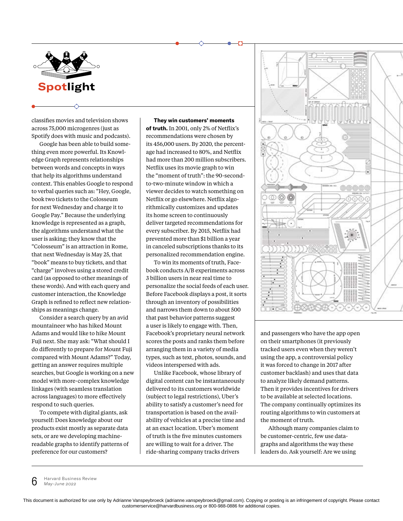

classifies movies and television shows across 75,000 microgenres (just as Spotify does with music and podcasts).

Google has been able to build something even more powerful. Its Knowledge Graph represents relationships between words and concepts in ways that help its algorithms understand context. This enables Google to respond to verbal queries such as: "Hey, Google, book two tickets to the Colosseum for next Wednesday and charge it to Google Pay." Because the underlying knowledge is represented as a graph, the algorithms understand what the user is asking; they know that the "Colosseum" is an attraction in Rome, that next Wednesday is May 25, that "book" means to buy tickets, and that "charge" involves using a stored credit card (as opposed to other meanings of these words). And with each query and customer interaction, the Knowledge Graph is refined to reflect new relationships as meanings change.

Consider a search query by an avid mountaineer who has hiked Mount Adams and would like to hike Mount Fuji next. She may ask: "What should I do differently to prepare for Mount Fuji compared with Mount Adams?" Today, getting an answer requires multiple searches, but Google is working on a new model with more-complex knowledge linkages (with seamless translation across languages) to more effectively respond to such queries.

To compete with digital giants, ask yourself: Does knowledge about our products exist mostly as separate data sets, or are we developing machinereadable graphs to identify patterns of preference for our customers?

**They win customers' moments of truth.** In 2001, only 2% of Netflix's recommendations were chosen by its 456,000 users. By 2020, the percentage had increased to 80%, and Netflix had more than 200 million subscribers. Netflix uses its movie graph to win the "moment of truth": the 90-secondto-two-minute window in which a viewer decides to watch something on Netflix or go elsewhere. Netflix algorithmically customizes and updates its home screen to continuously deliver targeted recommendations for every subscriber. By 2015, Netflix had prevented more than \$1 billion a year in canceled subscriptions thanks to its personalized recommendation engine.

To win its moments of truth, Facebook conducts A/B experiments across 3 billion users in near real time to personalize the social feeds of each user. Before Facebook displays a post, it sorts through an inventory of possibilities and narrows them down to about 500 that past behavior patterns suggest a user is likely to engage with. Then, Facebook's proprietary neural network scores the posts and ranks them before arranging them in a variety of media types, such as text, photos, sounds, and videos interspersed with ads.

Unlike Facebook, whose library of digital content can be instantaneously delivered to its customers worldwide (subject to legal restrictions), Uber's ability to satisfy a customer's need for transportation is based on the availability of vehicles at a precise time and at an exact location. Uber's moment of truth is the five minutes customers are willing to wait for a driver. The ride-sharing company tracks drivers



and passengers who have the app open on their smartphones (it previously tracked users even when they weren't using the app, a controversial policy it was forced to change in 2017 after customer backlash) and uses that data to analyze likely demand patterns. Then it provides incentives for drivers to be available at selected locations. The company continually optimizes its routing algorithms to win customers at the moment of truth.

Although many companies claim to be customer-centric, few use datagraphs and algorithms the way these leaders do. Ask yourself: Are we using

 $6$  Harvard Business Review *May–June 2022*

This document is authorized for use only by Adrianne Vanspeybroeck (adrianne.vanspeybroeck@gmail.com). Copying or posting is an infringement of copyright. Please contact customerservice@harvardbusiness.org or 800-988-0886 for additional copies.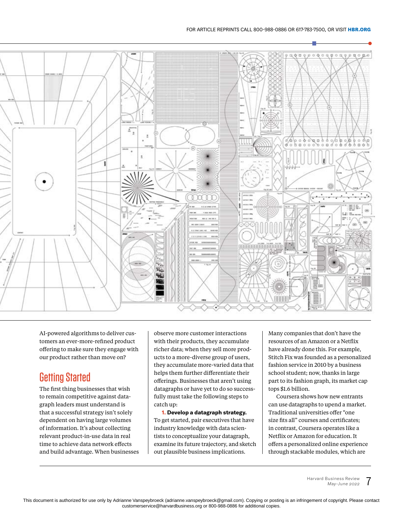

AI-powered algorithms to deliver customers an ever-more-refined product offering to make sure they engage with our product rather than move on?

#### Getting Started

The first thing businesses that wish to remain competitive against datagraph leaders must understand is that a successful strategy isn't solely dependent on having large volumes of information. It's about collecting relevant product-in-use data in real time to achieve data network effects and build advantage. When businesses

observe more customer interactions with their products, they accumulate richer data; when they sell more products to a more-diverse group of users, they accumulate more-varied data that helps them further differentiate their offerings. Businesses that aren't using datagraphs or have yet to do so successfully must take the following steps to catch up:

**1. Develop a datagraph strategy.** To get started, pair executives that have industry knowledge with data scientists to conceptualize your datagraph, examine its future trajectory, and sketch out plausible business implications.

Many companies that don't have the resources of an Amazon or a Netflix have already done this. For example, Stitch Fix was founded as a personalized fashion service in 2010 by a business school student; now, thanks in large part to its fashion graph, its market cap tops \$1.6 billion.

Coursera shows how new entrants can use datagraphs to upend a market. Traditional universities offer "one size fits all" courses and certificates; in contrast, Coursera operates like a Netflix or Amazon for education. It offers a personalized online experience through stackable modules, which are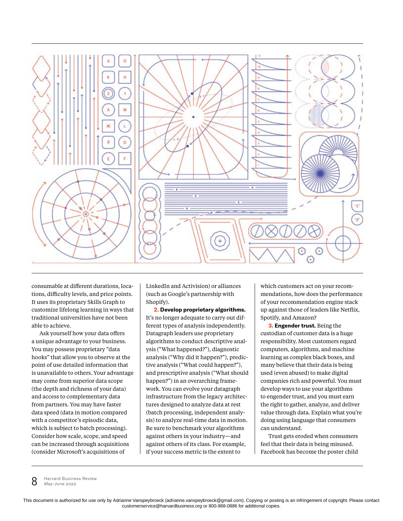

consumable at different durations, locations, difficulty levels, and price points. It uses its proprietary Skills Graph to customize lifelong learning in ways that traditional universities have not been able to achieve.

Ask yourself how your data offers a unique advantage to your business. You may possess proprietary "data hooks" that allow you to observe at the point of use detailed information that is unavailable to others. Your advantage may come from superior data scope (the depth and richness of your data) and access to complementary data from partners. You may have faster data speed (data in motion compared with a competitor's episodic data, which is subject to batch processing). Consider how scale, scope, and speed can be increased through acquisitions (consider Microsoft's acquisitions of

LinkedIn and Activision) or alliances (such as Google's partnership with Shopify).

**2. Develop proprietary algorithms.** It's no longer adequate to carry out different types of analysis independently. Datagraph leaders use proprietary algorithms to conduct descriptive analysis ("What happened?"), diagnostic analysis ("Why did it happen?"), predictive analysis ("What could happen?"), and prescriptive analysis ("What should happen?") in an overarching framework. You can evolve your datagraph infrastructure from the legacy architectures designed to analyze data at rest (batch processing, independent analysis) to analyze real-time data in motion. Be sure to benchmark your algorithms against others in your industry—and against others of its class. For example, if your success metric is the extent to

which customers act on your recommendations, how does the performance of your recommendation engine stack up against those of leaders like Netflix, Spotify, and Amazon?

**3. Engender trust.** Being the custodian of customer data is a huge responsibility. Most customers regard computers, algorithms, and machine learning as complex black boxes, and many believe that their data is being used (even abused) to make digital companies rich and powerful. You must develop ways to use your algorithms to engender trust, and you must earn the right to gather, analyze, and deliver value through data. Explain what you're doing using language that consumers can understand.

Trust gets eroded when consumers feel that their data is being misused. Facebook has become the poster child

**8** Harvard Business Review *May–June 2022*

This document is authorized for use only by Adrianne Vanspeybroeck (adrianne.vanspeybroeck@gmail.com). Copying or posting is an infringement of copyright. Please contact customerservice@harvardbusiness.org or 800-988-0886 for additional copies.